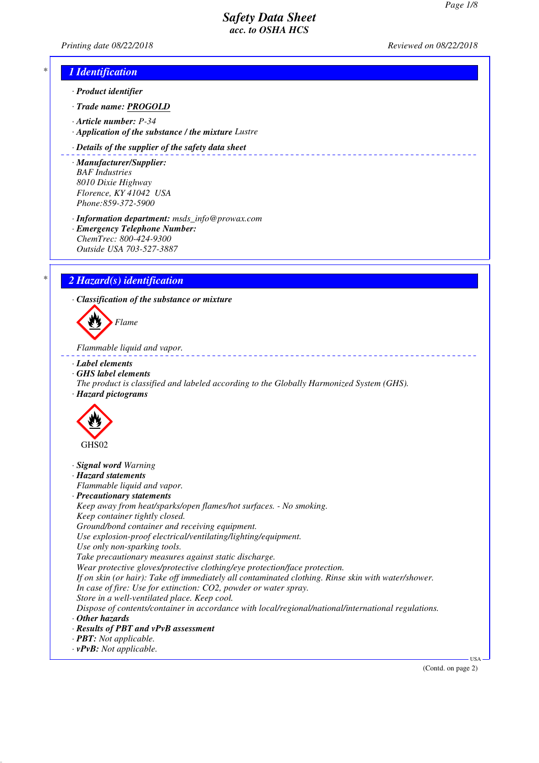-------------------------

*Printing date 08/22/2018 Reviewed on 08/22/2018*

# *\* 1 Identification*

- *· Product identifier*
- *· Trade name: PROGOLD*
- *· Article number: P-34*
- *· Application of the substance / the mixture Lustre*

#### *· Details of the supplier of the safety data sheet*

- *· Manufacturer/Supplier: BAF Industries 8010 Dixie Highway Florence, KY 41042 USA Phone:859-372-5900*
- *· Information department: msds\_info@prowax.com · Emergency Telephone Number: ChemTrec: 800-424-9300*
- *Outside USA 703-527-3887*

# *\* 2 Hazard(s) identification*

*· Classification of the substance or mixture*



*Flammable liquid and vapor.* 

- *· Label elements*
- *· GHS label elements*
- *The product is classified and labeled according to the Globally Harmonized System (GHS). · Hazard pictograms*



- *· Signal word Warning*
- *· Hazard statements*
- *Flammable liquid and vapor.*
- *· Precautionary statements*
- *Keep away from heat/sparks/open flames/hot surfaces. No smoking. Keep container tightly closed. Ground/bond container and receiving equipment.*
- *Use explosion-proof electrical/ventilating/lighting/equipment.*
- *Use only non-sparking tools.*
- *Take precautionary measures against static discharge.*
- *Wear protective gloves/protective clothing/eye protection/face protection.*
- *If on skin (or hair): Take off immediately all contaminated clothing. Rinse skin with water/shower.*
- *In case of fire: Use for extinction: CO2, powder or water spray.*
- *Store in a well-ventilated place. Keep cool.*
- *Dispose of contents/container in accordance with local/regional/national/international regulations. · Other hazards*
- 
- *· Results of PBT and vPvB assessment · PBT: Not applicable.*
- *· vPvB: Not applicable.*

(Contd. on page 2)

USA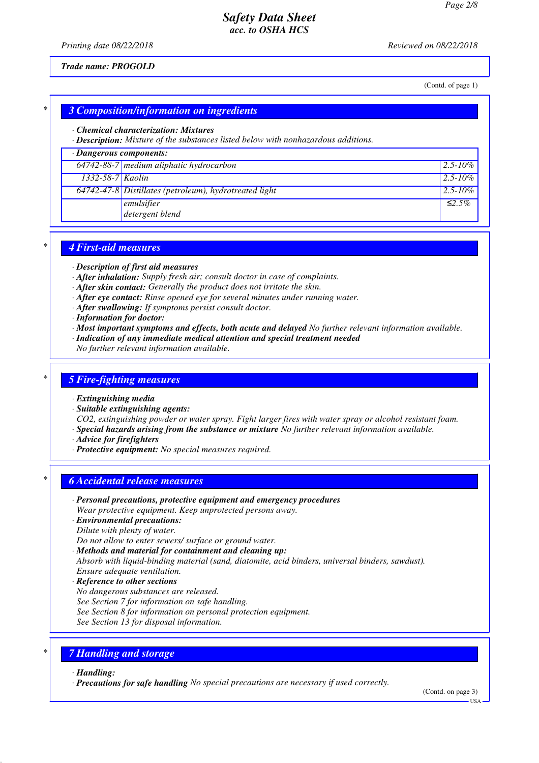*Printing date 08/22/2018 Reviewed on 08/22/2018*

#### *Trade name: PROGOLD*

(Contd. of page 1)

## *\* 3 Composition/information on ingredients*

#### *· Chemical characterization: Mixtures*

*· Description: Mixture of the substances listed below with nonhazardous additions.*

# *· Dangerous components:*

|                        | $64742-88-7$ medium aliphatic hydrocarbon                | $12.5 - 10\%$ |
|------------------------|----------------------------------------------------------|---------------|
| $1332 - 58 - 7$ Kaolin |                                                          | $2.5 - 10\%$  |
|                        | $64742-47-8$ Distillates (petroleum), hydrotreated light | $2.5 - 10\%$  |
|                        | emulsifier<br>detergent blend                            | $\leq 2.5\%$  |

### *\* 4 First-aid measures*

- *· Description of first aid measures*
- *· After inhalation: Supply fresh air; consult doctor in case of complaints.*
- *· After skin contact: Generally the product does not irritate the skin.*
- *· After eye contact: Rinse opened eye for several minutes under running water.*
- *· After swallowing: If symptoms persist consult doctor.*
- *· Information for doctor:*
- *· Most important symptoms and effects, both acute and delayed No further relevant information available.*
- *· Indication of any immediate medical attention and special treatment needed*
- *No further relevant information available.*

### *\* 5 Fire-fighting measures*

#### *· Extinguishing media*

*· Suitable extinguishing agents:*

*CO2, extinguishing powder or water spray. Fight larger fires with water spray or alcohol resistant foam. · Special hazards arising from the substance or mixture No further relevant information available.*

- *· Advice for firefighters*
- *· Protective equipment: No special measures required.*

#### *\* 6 Accidental release measures*

- *· Personal precautions, protective equipment and emergency procedures*
- *Wear protective equipment. Keep unprotected persons away.*
- *· Environmental precautions: Dilute with plenty of water.*
- *Do not allow to enter sewers/ surface or ground water.*
- *· Methods and material for containment and cleaning up:*
- *Absorb with liquid-binding material (sand, diatomite, acid binders, universal binders, sawdust). Ensure adequate ventilation.*
- *· Reference to other sections*
- *No dangerous substances are released.*
- *See Section 7 for information on safe handling.*
- *See Section 8 for information on personal protection equipment.*
- *See Section 13 for disposal information.*

## *\* 7 Handling and storage*

- *· Handling:*
- *· Precautions for safe handling No special precautions are necessary if used correctly.*

(Contd. on page 3)

USA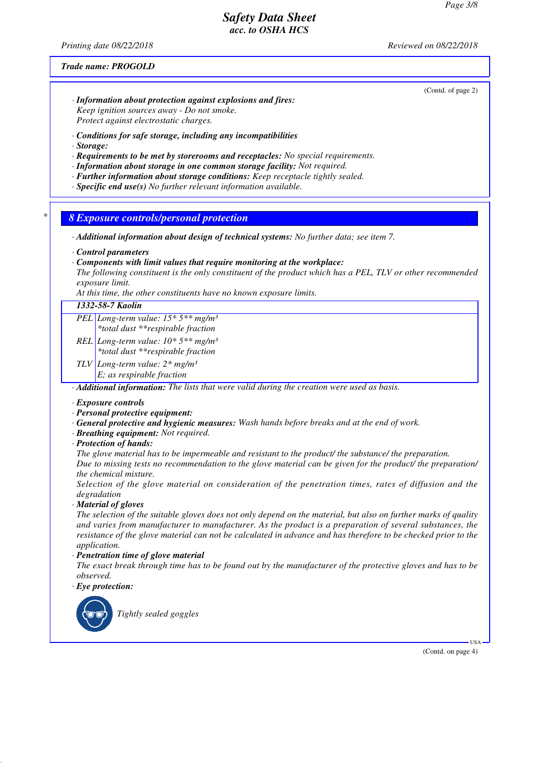*Printing date 08/22/2018 Reviewed on 08/22/2018*

#### *Trade name: PROGOLD*

(Contd. of page 2)

- *· Information about protection against explosions and fires: Keep ignition sources away - Do not smoke. Protect against electrostatic charges.*
- *· Conditions for safe storage, including any incompatibilities*
- *· Storage:*
- *· Requirements to be met by storerooms and receptacles: No special requirements.*
- *· Information about storage in one common storage facility: Not required.*
- *· Further information about storage conditions: Keep receptacle tightly sealed.*
- *· Specific end use(s) No further relevant information available.*

*\* 8 Exposure controls/personal protection*

*· Additional information about design of technical systems: No further data; see item 7.*

*· Control parameters*

- *· Components with limit values that require monitoring at the workplace:*
- *The following constituent is the only constituent of the product which has a PEL, TLV or other recommended exposure limit.*

*At this time, the other constituents have no known exposure limits.*

## *1332-58-7 Kaolin*

*PEL Long-term value: 15\* 5\*\* mg/m³*

- *\*total dust \*\*respirable fraction*
- *REL Long-term value: 10\* 5\*\* mg/m³ \*total dust \*\*respirable fraction*
- *TLV Long-term value: 2\* mg/m³*

*E; as respirable fraction*

*· Additional information: The lists that were valid during the creation were used as basis.*

#### *· Exposure controls*

- *· Personal protective equipment:*
- *· General protective and hygienic measures: Wash hands before breaks and at the end of work.*
- *· Breathing equipment: Not required.*
- *· Protection of hands:*

*The glove material has to be impermeable and resistant to the product/ the substance/ the preparation. Due to missing tests no recommendation to the glove material can be given for the product/ the preparation/ the chemical mixture.*

*Selection of the glove material on consideration of the penetration times, rates of diffusion and the degradation*

*· Material of gloves*

*The selection of the suitable gloves does not only depend on the material, but also on further marks of quality and varies from manufacturer to manufacturer. As the product is a preparation of several substances, the resistance of the glove material can not be calculated in advance and has therefore to be checked prior to the application.*

*· Penetration time of glove material*

*The exact break through time has to be found out by the manufacturer of the protective gloves and has to be observed.*

*· Eye protection:*



*Tightly sealed goggles*

(Contd. on page 4)

USA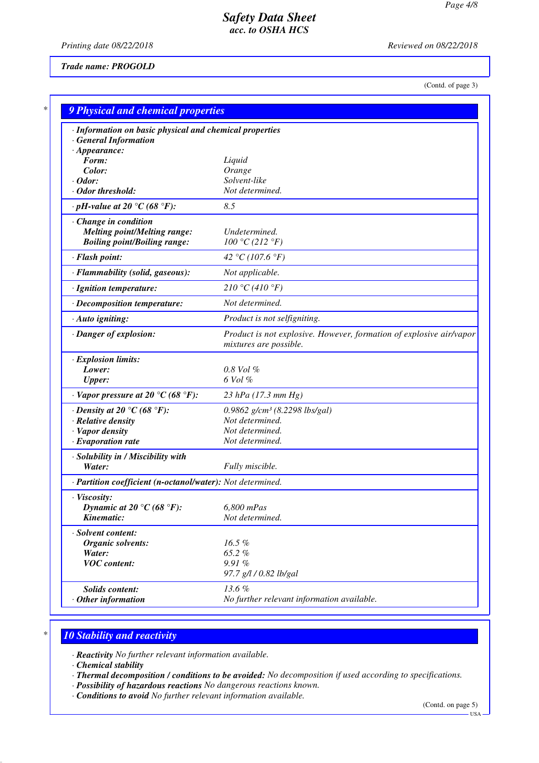*Printing date 08/22/2018 Reviewed on 08/22/2018*

## *Trade name: PROGOLD*

(Contd. of page 3)

| · Information on basic physical and chemical properties    |                                                                                               |
|------------------------------------------------------------|-----------------------------------------------------------------------------------------------|
| <b>General Information</b>                                 |                                                                                               |
| $\cdot$ Appearance:<br>Form:                               | Liquid                                                                                        |
| Color:                                                     | Orange                                                                                        |
| $\cdot$ Odor:                                              | Solvent-like                                                                                  |
| $\cdot$ Odor threshold:                                    | Not determined.                                                                               |
| $\cdot$ pH-value at 20 $\degree$ C (68 $\degree$ F):       | 8.5                                                                                           |
| Change in condition                                        |                                                                                               |
| <b>Melting point/Melting range:</b>                        | Undetermined.                                                                                 |
| <b>Boiling point/Boiling range:</b>                        | 100 °C (212 °F)                                                                               |
| · Flash point:                                             | 42 °C (107.6 °F)                                                                              |
| · Flammability (solid, gaseous):                           | Not applicable.                                                                               |
| · Ignition temperature:                                    | 210 °C (410 °F)                                                                               |
| · Decomposition temperature:                               | Not determined.                                                                               |
| · Auto igniting:                                           | Product is not selfigniting.                                                                  |
| · Danger of explosion:                                     | Product is not explosive. However, formation of explosive air/vapor<br>mixtures are possible. |
| · Explosion limits:                                        |                                                                                               |
| Lower:                                                     | $0.8$ Vol $\%$                                                                                |
| <b>Upper:</b>                                              | 6 Vol %                                                                                       |
| $\cdot$ Vapor pressure at 20 °C (68 °F):                   | $23$ hPa (17.3 mm Hg)                                                                         |
| $\cdot$ Density at 20 °C (68 °F):                          | 0.9862 $g/cm^3$ (8.2298 lbs/gal)                                                              |
| · Relative density                                         | Not determined.                                                                               |
| · Vapor density                                            | Not determined.                                                                               |
| $\cdot$ Evaporation rate                                   | Not determined.                                                                               |
| · Solubility in / Miscibility with                         |                                                                                               |
| Water:                                                     | Fully miscible.                                                                               |
| · Partition coefficient (n-octanol/water): Not determined. |                                                                                               |
| · Viscosity:                                               |                                                                                               |
| Dynamic at 20 °C (68 °F):                                  | 6,800 mPas                                                                                    |
| Kinematic:                                                 | Not determined.                                                                               |
| · Solvent content:                                         |                                                                                               |
| Organic solvents:                                          | 16.5%                                                                                         |
| Water:                                                     | 65.2%                                                                                         |
| <b>VOC</b> content:                                        | 9.91%<br>97.7 g/l / 0.82 lb/gal                                                               |
| Solids content:                                            | 13.6%                                                                                         |
| $·$ Other information                                      | No further relevant information available.                                                    |

# *\* 10 Stability and reactivity*

*· Reactivity No further relevant information available.*

*· Chemical stability*

*· Thermal decomposition / conditions to be avoided: No decomposition if used according to specifications.*

- *· Possibility of hazardous reactions No dangerous reactions known.*
- *· Conditions to avoid No further relevant information available.*

(Contd. on page 5)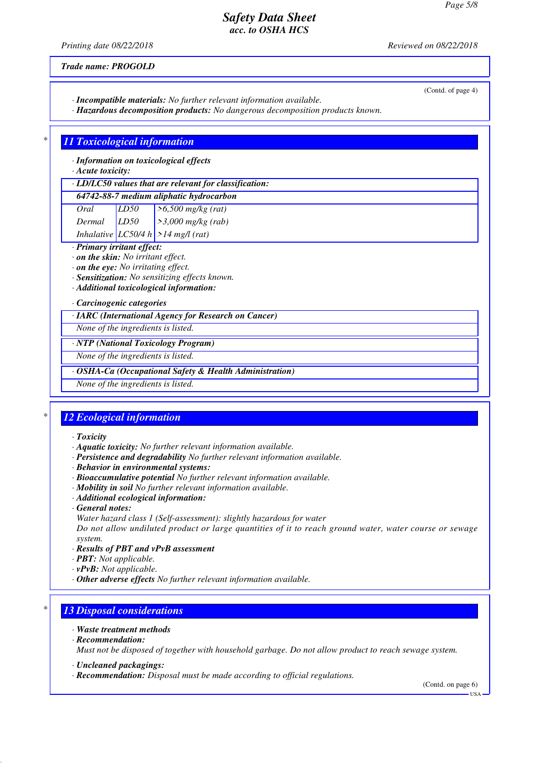*Printing date 08/22/2018 Reviewed on 08/22/2018*

(Contd. of page 4)

*Trade name: PROGOLD*

*· Incompatible materials: No further relevant information available.*

*· Hazardous decomposition products: No dangerous decomposition products known.*

# *\* 11 Toxicological information*

*· Information on toxicological effects*

*· Acute toxicity:*

## *· LD/LC50 values that are relevant for classification:*

## *64742-88-7 medium aliphatic hydrocarbon*

*Oral LD50 >6,500 mg/kg (rat) Dermal LD50 >3,000 mg/kg (rab)*

- *Inhalative LC50/4 h >14 mg/l (rat)*
- *· Primary irritant effect:*
- *· on the skin: No irritant effect. · on the eye: No irritating effect.*
- *· Sensitization: No sensitizing effects known.*
- 
- *· Additional toxicological information:*

*· Carcinogenic categories*

*· IARC (International Agency for Research on Cancer)*

*None of the ingredients is listed.*

#### *· NTP (National Toxicology Program)*

*None of the ingredients is listed.*

### *· OSHA-Ca (Occupational Safety & Health Administration)*

*None of the ingredients is listed.*

# *\* 12 Ecological information*

- *· Toxicity*
- *· Aquatic toxicity: No further relevant information available.*
- *· Persistence and degradability No further relevant information available.*
- *· Behavior in environmental systems:*
- *· Bioaccumulative potential No further relevant information available.*
- *· Mobility in soil No further relevant information available.*
- *· Additional ecological information:*
- *· General notes:*
- *Water hazard class 1 (Self-assessment): slightly hazardous for water*

*Do not allow undiluted product or large quantities of it to reach ground water, water course or sewage system.*

- *· Results of PBT and vPvB assessment*
- *· PBT: Not applicable.*
- *· vPvB: Not applicable.*
- *· Other adverse effects No further relevant information available.*

# *\* 13 Disposal considerations*

- *· Waste treatment methods*
- *· Recommendation:*

*Must not be disposed of together with household garbage. Do not allow product to reach sewage system.*

- *· Uncleaned packagings:*
- *· Recommendation: Disposal must be made according to official regulations.*

(Contd. on page 6) USA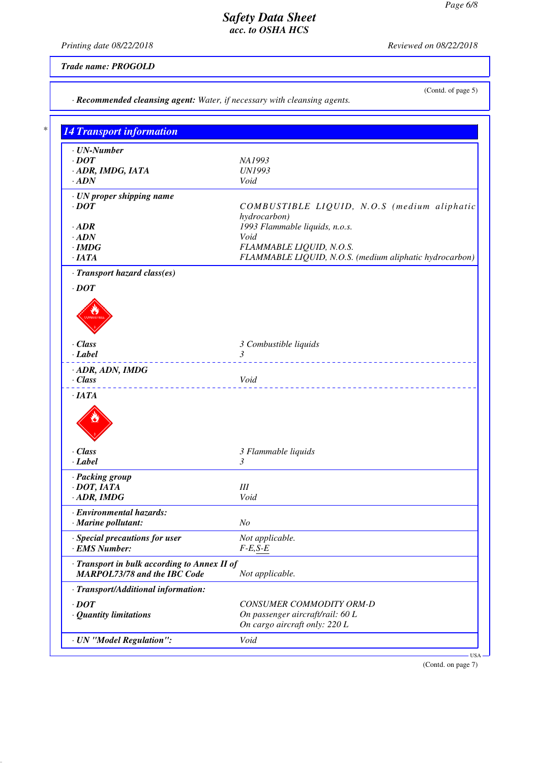*Printing date 08/22/2018 Reviewed on 08/22/2018*

*Trade name: PROGOLD*

(Contd. of page 5)

| 14 Transport information                     |                                                         |
|----------------------------------------------|---------------------------------------------------------|
| $\cdot$ UN-Number                            |                                                         |
| $\cdot$ <i>DOT</i>                           | NA1993                                                  |
| · ADR, IMDG, IATA                            | <b>UN1993</b>                                           |
| $\cdot$ ADN                                  | Void                                                    |
| · UN proper shipping name                    |                                                         |
| $\cdot$ <i>DOT</i>                           | COMBUSTIBLE LIQUID, N.O.S (medium aliphatic             |
|                                              | hydrocarbon)                                            |
| $\cdot$ ADR                                  | 1993 Flammable liquids, n.o.s.                          |
| $\cdot$ ADN                                  | Void                                                    |
| $\cdot$ IMDG                                 | FLAMMABLE LIQUID, N.O.S.                                |
| $\cdot$ IATA                                 | FLAMMABLE LIQUID, N.O.S. (medium aliphatic hydrocarbon) |
| · Transport hazard class(es)                 |                                                         |
| $\cdot$ <i>DOT</i>                           |                                                         |
|                                              |                                                         |
|                                              |                                                         |
|                                              |                                                         |
|                                              |                                                         |
|                                              |                                                         |
| · Class                                      | 3 Combustible liquids                                   |
| $\cdot$ Label                                | 3                                                       |
| $\cdot$ ADR, ADN, IMDG                       |                                                         |
| · Class                                      | Void                                                    |
|                                              |                                                         |
| ·IATA                                        |                                                         |
|                                              |                                                         |
|                                              |                                                         |
|                                              |                                                         |
|                                              |                                                         |
| · Class                                      | 3 Flammable liquids                                     |
| · Label                                      | 3                                                       |
| · Packing group                              |                                                         |
| $\cdot$ DOT, IATA                            | $I\!I\!I$                                               |
| $\cdot$ ADR, IMDG                            | Void                                                    |
| · Environmental hazards:                     |                                                         |
| · Marine pollutant:                          | N <sub>O</sub>                                          |
| · Special precautions for user               | Not applicable.                                         |
| · EMS Number:                                | $F-E, S-E$                                              |
| · Transport in bulk according to Annex II of |                                                         |
| <b>MARPOL73/78 and the IBC Code</b>          | Not applicable.                                         |
| · Transport/Additional information:          |                                                         |
|                                              |                                                         |
| $\cdot$ DOT                                  | CONSUMER COMMODITY ORM-D                                |
| · Quantity limitations                       | On passenger aircraft/rail: 60 L                        |
|                                              | On cargo aircraft only: 220 L                           |
|                                              | Void                                                    |

(Contd. on page 7)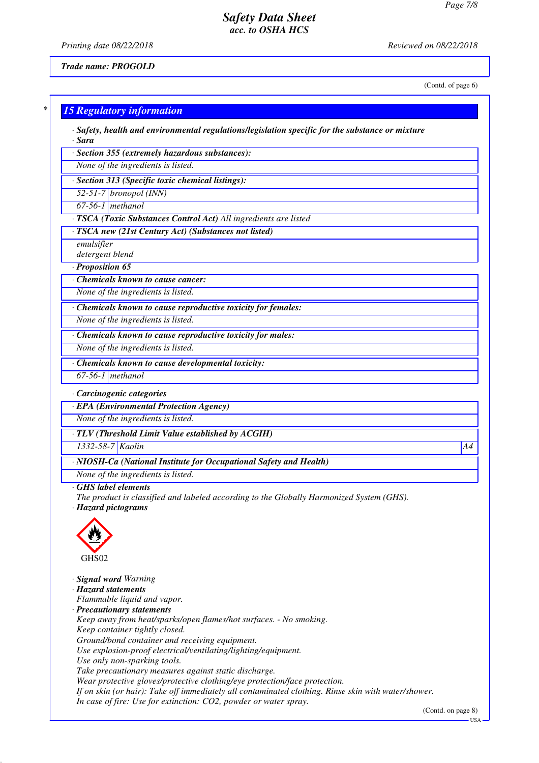*Printing date 08/22/2018 Reviewed on 08/22/2018*

*Trade name: PROGOLD*

(Contd. of page 6)

|                                              | <b>15 Regulatory information</b>                                                                                 |
|----------------------------------------------|------------------------------------------------------------------------------------------------------------------|
| · Sara                                       | · Safety, health and environmental regulations/legislation specific for the substance or mixture                 |
|                                              | · Section 355 (extremely hazardous substances):                                                                  |
|                                              | None of the ingredients is listed.                                                                               |
|                                              | · Section 313 (Specific toxic chemical listings):                                                                |
|                                              | $52-51-7$ bronopol (INN)                                                                                         |
| $\overline{67-56-1}$ methanol                |                                                                                                                  |
|                                              | · TSCA (Toxic Substances Control Act) All ingredients are listed                                                 |
|                                              | · TSCA new (21st Century Act) (Substances not listed)                                                            |
| emulsifier                                   |                                                                                                                  |
| detergent blend                              |                                                                                                                  |
| · Proposition 65                             |                                                                                                                  |
|                                              | $\overline{\cdot}$ Chemicals known to cause cancer:                                                              |
|                                              | None of the ingredients is listed.                                                                               |
|                                              | · Chemicals known to cause reproductive toxicity for females:                                                    |
|                                              | None of the ingredients is listed.                                                                               |
|                                              | $\overline{\cdot}$ Chemicals known to cause reproductive toxicity for males:                                     |
|                                              | None of the ingredients is listed.                                                                               |
|                                              | Chemicals known to cause developmental toxicity:                                                                 |
| $67-56-1$ methanol                           |                                                                                                                  |
| · Carcinogenic categories                    |                                                                                                                  |
|                                              | · EPA (Environmental Protection Agency)                                                                          |
|                                              | None of the ingredients is listed.                                                                               |
|                                              | TLV (Threshold Limit Value established by ACGIH)                                                                 |
| 1332-58-7 Kaolin                             |                                                                                                                  |
|                                              | · NIOSH-Ca (National Institute for Occupational Safety and Health)                                               |
|                                              |                                                                                                                  |
|                                              |                                                                                                                  |
|                                              | None of the ingredients is listed.                                                                               |
| GHS label elements                           | The product is classified and labeled according to the Globally Harmonized System (GHS).                         |
| · Hazard pictograms                          |                                                                                                                  |
|                                              |                                                                                                                  |
|                                              |                                                                                                                  |
|                                              |                                                                                                                  |
| GHS02                                        |                                                                                                                  |
|                                              |                                                                                                                  |
| · Signal word Warning<br>· Hazard statements |                                                                                                                  |
|                                              | Flammable liquid and vapor.                                                                                      |
|                                              | · Precautionary statements                                                                                       |
|                                              | Keep away from heat/sparks/open flames/hot surfaces. - No smoking.                                               |
|                                              | Keep container tightly closed.                                                                                   |
|                                              | Ground/bond container and receiving equipment.<br>Use explosion-proof electrical/ventilating/lighting/equipment. |

*Take precautionary measures against static discharge.*

*Wear protective gloves/protective clothing/eye protection/face protection.*

*If on skin (or hair): Take off immediately all contaminated clothing. Rinse skin with water/shower.*

*In case of fire: Use for extinction: CO2, powder or water spray.*

(Contd. on page 8)